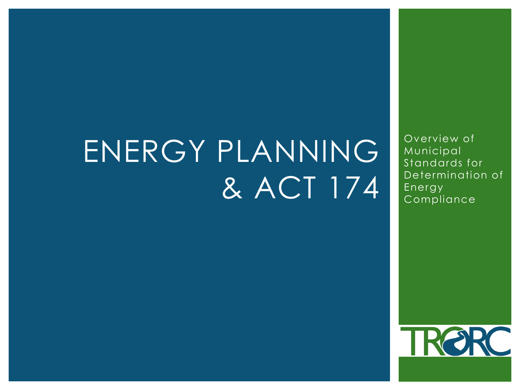# ENERGY PLANNING & ACT 174

Overview of **Municipal** Standards for Determination of Energy Compliance

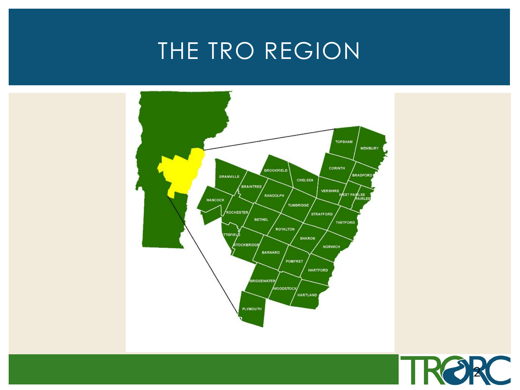#### THE TRO REGION



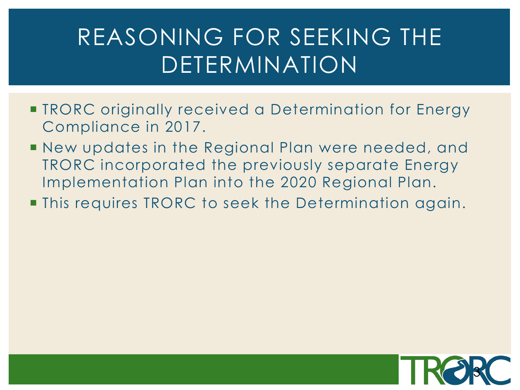### REASONING FOR SEEKING THE DETERMINATION

- **TRORC** originally received a Determination for Energy Compliance in 2017.
- New updates in the Regional Plan were needed, and TRORC incorporated the previously separate Energy Implementation Plan into the 2020 Regional Plan.
- **This requires TRORC to seek the Determination again.**

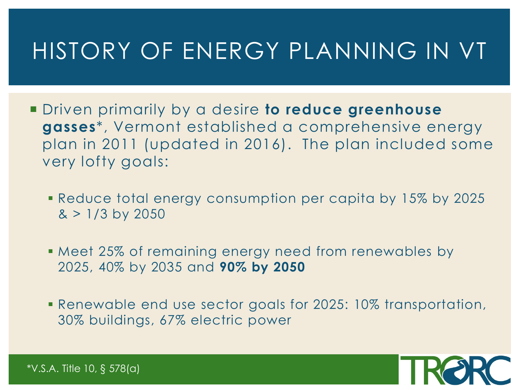#### HISTORY OF ENERGY PLANNING IN VT

- Driven primarily by a desire **to reduce greenhouse gasses**\*, Vermont established a comprehensive energy plan in 2011 (updated in 2016). The plan included some very lofty goals:
	- Reduce total energy consumption per capita by 15% by 2025  $> 1/3$  by 2050
	- Meet 25% of remaining energy need from renewables by 2025, 40% by 2035 and **90% by 2050**
	- Renewable end use sector goals for 2025: 10% transportation, 30% buildings, 67% electric power



\*V.S.A. Title 10, § 578(a)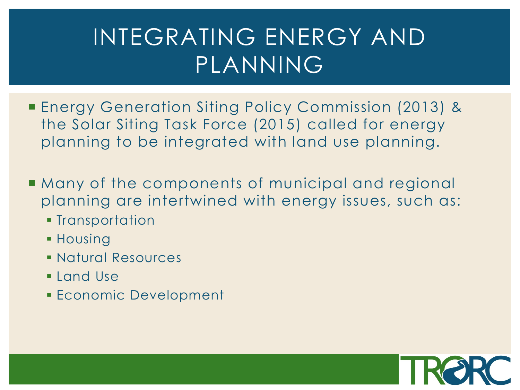### INTEGRATING ENERGY AND PLANNING

- Energy Generation Siting Policy Commission (2013) & the Solar Siting Task Force (2015) called for energy planning to be integrated with land use planning.
- Many of the components of municipal and regional planning are intertwined with energy issues, such as:
	- **Transportation**
	- **Housing**
	- Natural Resources
	- **Land Use**
	- **Economic Development**

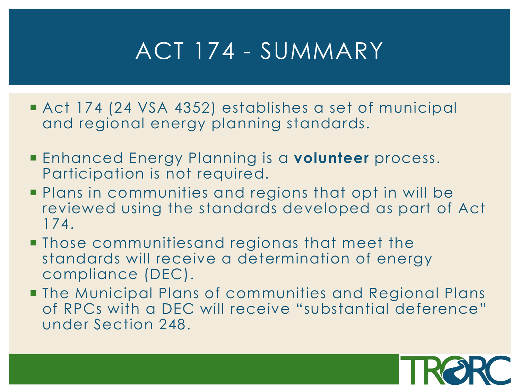### ACT 174 - SUMMARY

- Act 174 (24 VSA 4352) establishes a set of municipal and regional energy planning standards.
- Enhanced Energy Planning is a **volunteer** process. Participation is not required.
- **Plans in communities and regions that opt in will be** reviewed using the standards developed as part of Act 174.
- Those communitiesand regionas that meet the standards will receive a determination of energy compliance (DEC).
- The Municipal Plans of communities and Regional Plans of RPCs with a DEC will receive "substantial deference" under Section 248.

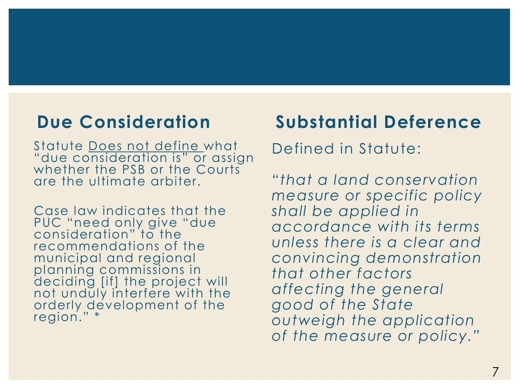#### **Due Consideration**

Statute Does not define what "due consideration is" or assign whether the PSB or the Courts are the ultimate arbiter.

Case law indicates that the PUC "need only give "due consideration" to the recommendations of the municipal and regional planning commissions in deciding [if] the project will not unduly interfere with the orderly development of the region." \*

#### **Substantial Deference**

Defined in Statute:

*"that a land conservation measure or specific policy shall be applied in accordance with its terms unless there is a clear and convincing demonstration that other factors affecting the general good of the State outweigh the application of the measure or policy."*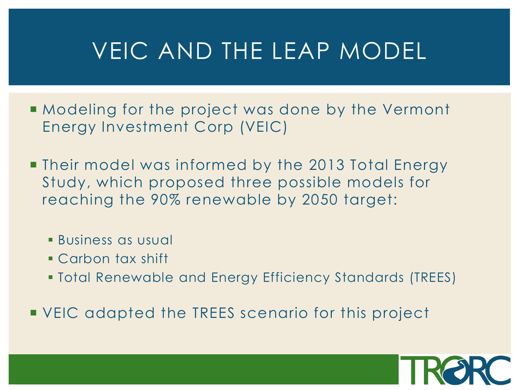### VEIC AND THE LEAP MODEL

- **Modeling for the project was done by the Vermont** Energy Investment Corp (VEIC)
- **Their model was informed by the 2013 Total Energy** Study, which proposed three possible models for reaching the 90% renewable by 2050 target:
	- Business as usual
	- Carbon tax shift
	- Total Renewable and Energy Efficiency Standards (TREES)

**VEIC** adapted the TREES scenario for this project

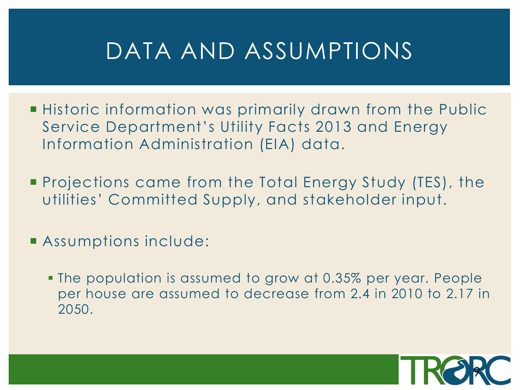#### DATA AND ASSUMPTIONS

- **Historic information was primarily drawn from the Public** Service Department's Utility Facts 2013 and Energy Information Administration (EIA) data.
- Projections came from the Total Energy Study (TES), the utilities' Committed Supply, and stakeholder input.
- **Assumptions include:** 
	- The population is assumed to grow at 0.35% per year. People per house are assumed to decrease from 2.4 in 2010 to 2.17 in 2050.

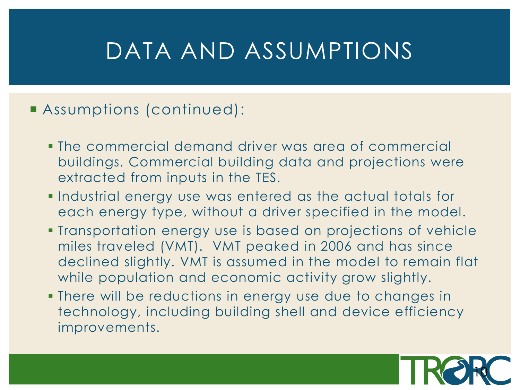#### DATA AND ASSUMPTIONS

#### Assumptions (continued):

- The commercial demand driver was area of commercial buildings. Commercial building data and projections were extracted from inputs in the TES.
- **Industrial energy use was entered as the actual totals for** each energy type, without a driver specified in the model.
- Transportation energy use is based on projections of vehicle miles traveled (VMT). VMT peaked in 2006 and has since declined slightly. VMT is assumed in the model to remain flat while population and economic activity grow slightly.
- There will be reductions in energy use due to changes in technology, including building shell and device efficiency improvements.

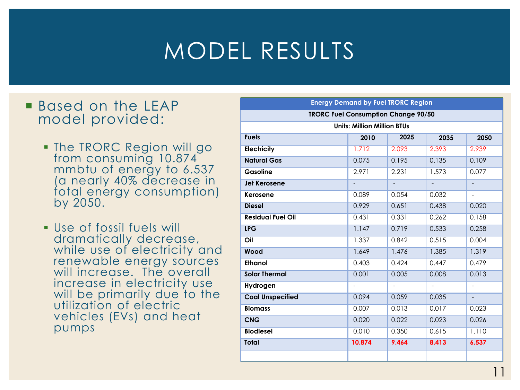# MODEL RESULTS

#### **Based on the LEAP** model provided:

- **. The TRORC Region will go** from consuming 10.874 mmbtu of energy to 6.537 (a nearly 40% decrease in total energy consumption) by 2050.
- Use of fossil fuels will dramatically decrease, while use of electricity and renewable energy sources will increase. The overall increase in electricity use will be primarily due to the utilization of electric vehicles (EVs) and heat pumps

| <b>Energy Demand by Fuel TRORC Region</b>  |        |                          |                          |                          |  |  |  |
|--------------------------------------------|--------|--------------------------|--------------------------|--------------------------|--|--|--|
| <b>TRORC Fuel Consumption Change 90/50</b> |        |                          |                          |                          |  |  |  |
| <b>Units: Million Million BTUs</b>         |        |                          |                          |                          |  |  |  |
| <b>Fuels</b>                               | 2010   | 2025                     | 2035                     | 2050                     |  |  |  |
| <b>Electricity</b>                         | 1.712  | 2.093                    | 2.393                    | 2.939                    |  |  |  |
| <b>Natural Gas</b>                         | 0.075  | 0.195                    | 0.135                    | 0.109                    |  |  |  |
| Gasoline                                   | 2.971  | 2.231                    | 1.573                    | 0.077                    |  |  |  |
| <b>Jet Kerosene</b>                        |        | $\overline{\phantom{a}}$ | $\overline{\phantom{0}}$ |                          |  |  |  |
| Kerosene                                   | 0.089  | 0.054                    | 0.032                    | $\overline{\phantom{0}}$ |  |  |  |
| <b>Diesel</b>                              | 0.929  | 0.651                    | 0.438                    | 0.020                    |  |  |  |
| <b>Residual Fuel Oil</b>                   | 0.431  | 0.331                    | 0.262                    | 0.158                    |  |  |  |
| <b>LPG</b>                                 | 1.147  | 0.719                    | 0.533                    | 0.258                    |  |  |  |
| Oil                                        | 1.337  | 0.842                    | 0.515                    | 0.004                    |  |  |  |
| Wood                                       | 1.649  | 1.476                    | 1.385                    | 1.319                    |  |  |  |
| <b>Ethanol</b>                             | 0.403  | 0.424                    | 0.447                    | 0.479                    |  |  |  |
| <b>Solar Thermal</b>                       | 0.001  | 0.005                    | 0.008                    | 0.013                    |  |  |  |
| Hydrogen                                   |        | $\qquad \qquad -$        | $\qquad \qquad -$        |                          |  |  |  |
| <b>Coal Unspecified</b>                    | 0.094  | 0.059                    | 0.035                    |                          |  |  |  |
| <b>Biomass</b>                             | 0.007  | 0.013                    | 0.017                    | 0.023                    |  |  |  |
| <b>CNG</b>                                 | 0.020  | 0.022                    | 0.023                    | 0.026                    |  |  |  |
| <b>Biodiesel</b>                           | 0.010  | 0.350                    | 0.615                    | 1.110                    |  |  |  |
| <b>Total</b>                               | 10.874 | 9.464                    | 8.413                    | 6.537                    |  |  |  |
|                                            |        |                          |                          |                          |  |  |  |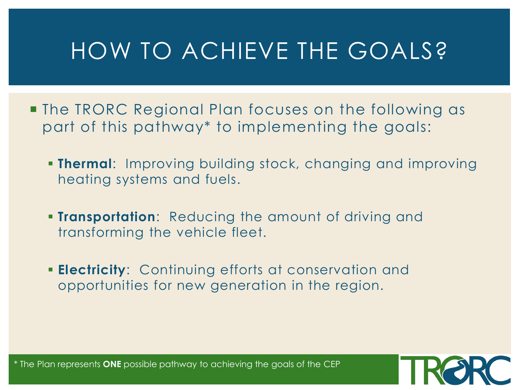# HOW TO ACHIEVE THE GOALS?

- **The TRORC Regional Plan focuses on the following as** part of this pathway\* to implementing the goals:
	- **Thermal**: Improving building stock, changing and improving heating systems and fuels.
	- **Transportation**: Reducing the amount of driving and transforming the vehicle fleet.
	- **Electricity**: Continuing efforts at conservation and opportunities for new generation in the region.

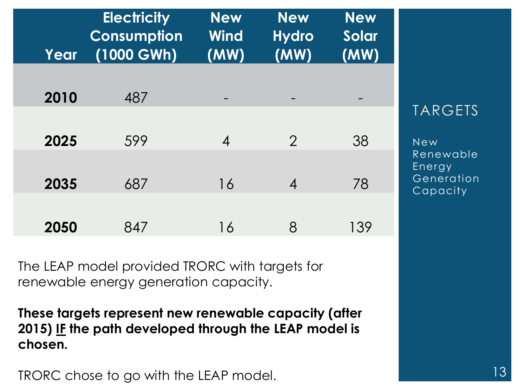| Year | <b>Electricity</b><br><b>Consumption</b><br>$(1000 \text{ GWh})$ | <b>New</b><br>Wind<br>(MW) | <b>New</b><br><b>Hydro</b><br>(MW) | <b>New</b><br><b>Solar</b><br>(MW) |
|------|------------------------------------------------------------------|----------------------------|------------------------------------|------------------------------------|
| 2010 | 487                                                              |                            |                                    |                                    |
| 2025 | 599                                                              | $\overline{\mathcal{A}}$   | $\overline{2}$                     | 38                                 |
| 2035 | 687                                                              | 16                         | $\boldsymbol{4}$                   | 78                                 |
| 2050 | 847                                                              | 16                         | 8                                  | 139                                |

The LEAP model provided TRORC with targets for renewable energy generation capacity.

**These targets represent new renewable capacity (after 2015) IF the path developed through the LEAP model is chosen.**

TRORC chose to go with the LEAP model.

#### **TARGETS**

New Renewable Energy Generation Capacity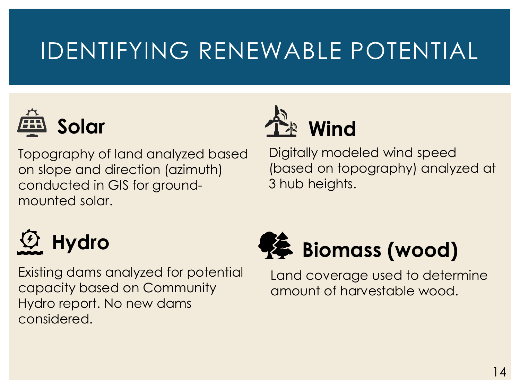# IDENTIFYING RENEWABLE POTENTIAL



Topography of land analyzed based on slope and direction (azimuth) conducted in GIS for groundmounted solar.



Digitally modeled wind speed (based on topography) analyzed at 3 hub heights.

# **Hydro**

Existing dams analyzed for potential capacity based on Community Hydro report. No new dams considered.



Land coverage used to determine amount of harvestable wood.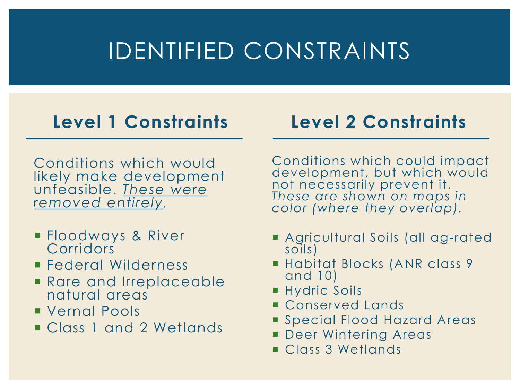### IDENTIFIED CONSTRAINTS

#### **Level 1 Constraints**

#### **Level 2 Constraints**

Conditions which would likely make development unfeasible. *These were removed entirely.*

- Floodways & River **Corridors**
- **Federal Wilderness**
- **Rare and Irreplaceable** natural areas
- **Vernal Pools**
- Class 1 and 2 Wetlands

Conditions which could impact development, but which would not necessarily prevent it. *These are shown on maps in color (where they overlap).*

- Agricultural Soils (all ag-rated soils)
- Habitat Blocks (ANR class 9 and 10)
- **Hydric Soils**
- **Conserved Lands**
- **Special Flood Hazard Areas**
- **Deer Wintering Areas**
- Class 3 Wetlands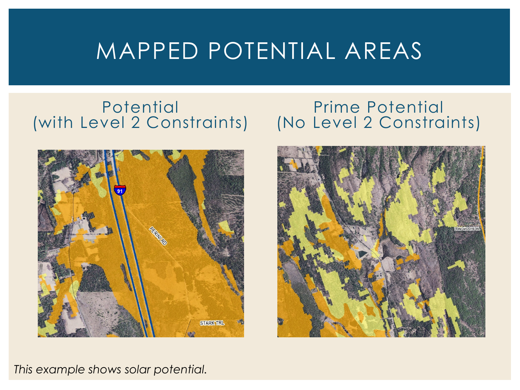#### MAPPED POTENTIAL AREAS

#### **Potential** (with Level 2 Constraints) (No Level 2 Constraints)



# Prime Potential



#### *This example shows solar potential.*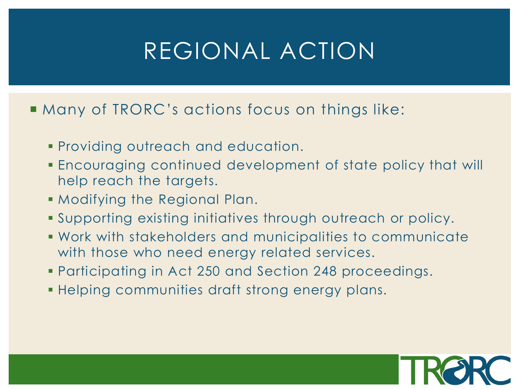### REGIONAL ACTION

#### **Many of TRORC's actions focus on things like:**

- Providing outreach and education.
- Encouraging continued development of state policy that will help reach the targets.
- Modifying the Regional Plan.
- Supporting existing initiatives through outreach or policy.
- Work with stakeholders and municipalities to communicate with those who need energy related services.
- Participating in Act 250 and Section 248 proceedings.
- Helping communities draft strong energy plans.

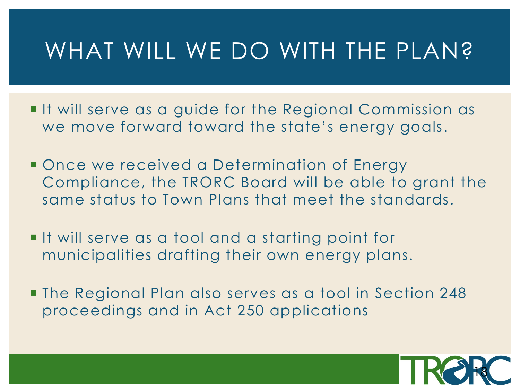#### WHAT WILL WE DO WITH THE PLAN?

- If will serve as a guide for the Regional Commission as we move forward toward the state's energy goals.
- Once we received a Determination of Energy Compliance, the TRORC Board will be able to grant the same status to Town Plans that meet the standards.
- If will serve as a tool and a starting point for municipalities drafting their own energy plans.
- The Regional Plan also serves as a tool in Section 248 proceedings and in Act 250 applications

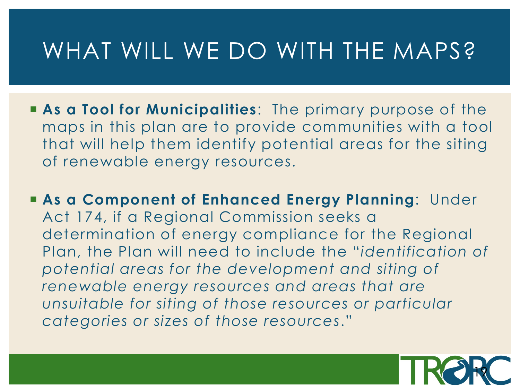#### WHAT WILL WE DO WITH THE MAPS?

- **As a Tool for Municipalities**: The primary purpose of the maps in this plan are to provide communities with a tool that will help them identify potential areas for the siting of renewable energy resources.
- **As a Component of Enhanced Energy Planning**: Under Act 174, if a Regional Commission seeks a determination of energy compliance for the Regional Plan, the Plan will need to include the "*identification of potential areas for the development and siting of renewable energy resources and areas that are unsuitable for siting of those resources or particular categories or sizes of those resources*."

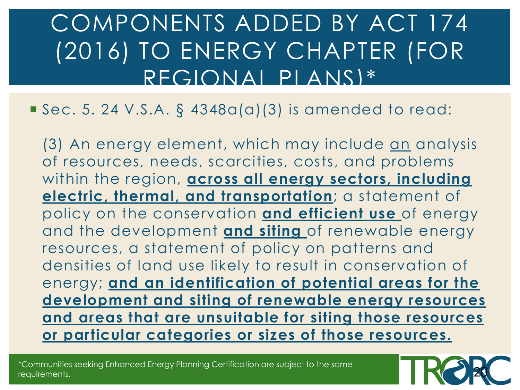### COMPONENTS ADDED BY ACT 174 (2016) TO ENERGY CHAPTER (FOR REGIONAL PLANS)\*

#### $Sec. 5. 24 V.S.A. § 4348a(a)(3) is amended to read:$

(3) An energy element, which may include an analysis of resources, needs, scarcities, costs, and problems within the region, **across all energy sectors, including electric, thermal, and transportation**; a statement of policy on the conservation **and efficient use** of energy and the development **and siting** of renewable energy resources, a statement of policy on patterns and densities of land use likely to result in conservation of energy; **and an identification of potential areas for the development and siting of renewable energy resources and areas that are unsuitable for siting those resources or particular categories or sizes of those resources.**

\*Communities seeking Enhanced Energy Planning Certification are subject to the same requirements.